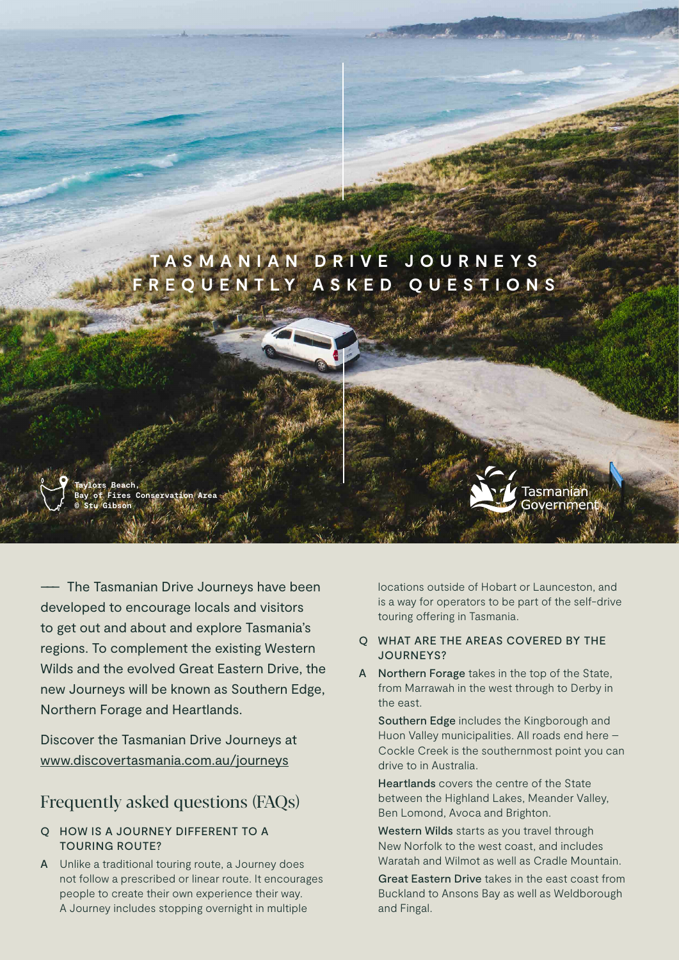

––– The Tasmanian Drive Journeys have been developed to encourage locals and visitors to get out and about and explore Tasmania's regions. To complement the existing Western Wilds and the evolved Great Eastern Drive, the new Journeys will be known as Southern Edge, Northern Forage and Heartlands.

Discover the Tasmanian Drive Journeys at [www.discovertasmania.com.au/journeys](http://www.discovertasmania.com.au/journeys)

# Frequently asked questions (FAQs)

## Q HOW IS A JOURNEY DIFFERENT TO A TOURING ROUTE?

A Unlike a traditional touring route, a Journey does not follow a prescribed or linear route. It encourages people to create their own experience their way. A Journey includes stopping overnight in multiple

locations outside of Hobart or Launceston, and is a way for operators to be part of the self-drive touring offering in Tasmania.

#### Q WHAT ARE THE AREAS COVERED BY THE JOURNEYS?

A Northern Forage takes in the top of the State, from Marrawah in the west through to Derby in the east.

Southern Edge includes the Kingborough and Huon Valley municipalities. All roads end here – Cockle Creek is the southernmost point you can drive to in Australia.

Heartlands covers the centre of the State between the Highland Lakes, Meander Valley, Ben Lomond, Avoca and Brighton.

Western Wilds starts as you travel through New Norfolk to the west coast, and includes Waratah and Wilmot as well as Cradle Mountain.

Great Eastern Drive takes in the east coast from Buckland to Ansons Bay as well as Weldborough and Fingal.